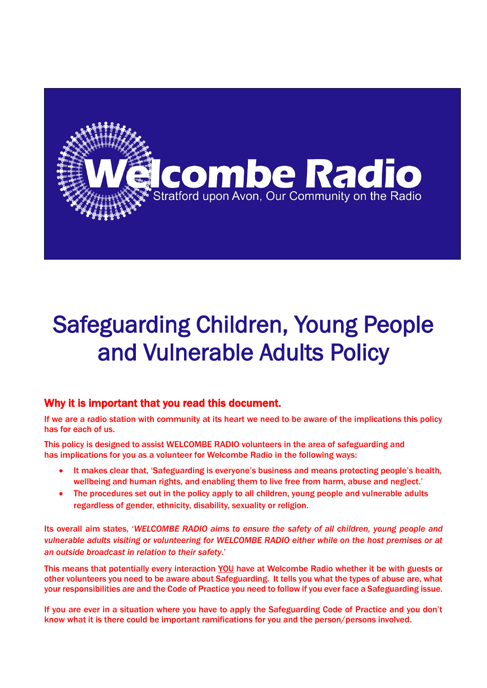

# Safeguarding Children, Young People and Vulnerable Adults Policy

# Why it is important that you read this document.

If we are a radio station with community at its heart we need to be aware of the implications this policy has for each of us.

This policy is designed to assist WELCOMBE RADIO volunteers in the area of safeguarding and has implications for you as a volunteer for Welcombe Radio in the following ways:

- It makes clear that, 'Safeguarding is everyone's business and means protecting people's health, wellbeing and human rights, and enabling them to live free from harm, abuse and neglect.'
- The procedures set out in the policy apply to all children, young people and vulnerable adults regardless of gender, ethnicity, disability, sexuality or religion.

Its overall aim states, '*WELCOMBE RADIO aims to ensure the safety of all children, young people and vulnerable adults visiting or volunteering for WELCOMBE RADIO either while on the host premises or at an outside broadcast in relation to their safety*.'

This means that potentially every interaction YOU have at Welcombe Radio whether it be with guests or other volunteers you need to be aware about Safeguarding. It tells you what the types of abuse are, what your responsibilities are and the Code of Practice you need to follow if you ever face a Safeguarding issue.

If you are ever in a situation where you have to apply the Safeguarding Code of Practice and you don't know what it is there could be important ramifications for you and the person/persons involved.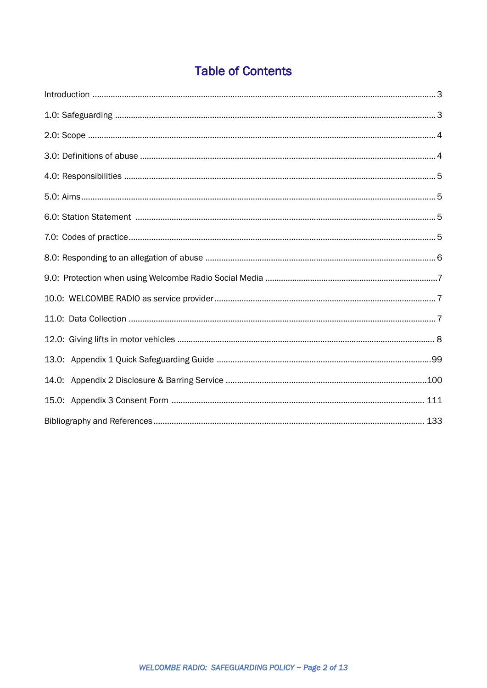# **Table of Contents**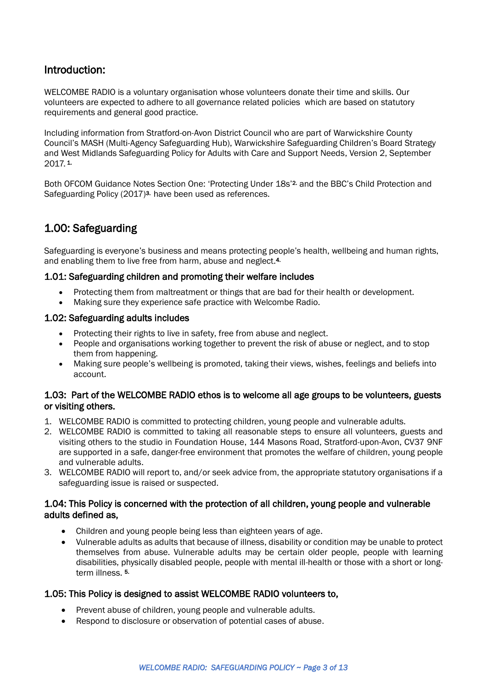# <span id="page-2-0"></span>Introduction:

WELCOMBE RADIO is a voluntary organisation whose volunteers donate their time and skills. Our volunteers are expected to adhere to all governance related policies which are based on statutory requirements and general good practice.

Including information from Stratford-on-Avon District Council who are part of Warwickshire County Council's MASH (Multi-Agency Safeguarding Hub), Warwickshire Safeguarding Children's Board Strategy and West Midlands Safeguarding Policy for Adults with Care and Support Needs, Version 2, September 2017. 1.

Both OFCOM Guidance Notes Section One: 'Protecting Under 18s' 2. and the BBC's Child Protection and Safeguarding Policy (2017)<sup>3.</sup> have been used as references.

# <span id="page-2-1"></span>1.00: Safeguarding

Safeguarding is everyone's business and means protecting people's health, wellbeing and human rights, and enabling them to live free from harm, abuse and neglect.<sup>4.</sup>

#### 1.01: Safeguarding children and promoting their welfare includes

- Protecting them from maltreatment or things that are bad for their health or development.
- Making sure they experience safe practice with Welcombe Radio.

#### 1.02: Safeguarding adults includes

- Protecting their rights to live in safety, free from abuse and neglect.
- People and organisations working together to prevent the risk of abuse or neglect, and to stop them from happening.
- Making sure people's wellbeing is promoted, taking their views, wishes, feelings and beliefs into account.

#### 1.03: Part of the WELCOMBE RADIO ethos is to welcome all age groups to be volunteers, guests or visiting others.

- 1. WELCOMBE RADIO is committed to protecting children, young people and vulnerable adults.
- 2. WELCOMBE RADIO is committed to taking all reasonable steps to ensure all volunteers, guests and visiting others to the studio in Foundation House, 144 Masons Road, Stratford-upon-Avon, CV37 9NF are supported in a safe, danger-free environment that promotes the welfare of children, young people and vulnerable adults.
- 3. WELCOMBE RADIO will report to, and/or seek advice from, the appropriate statutory organisations if a safeguarding issue is raised or suspected.

#### 1.04: This Policy is concerned with the protection of all children, young people and vulnerable adults defined as,

- Children and young people being less than eighteen years of age.
- Vulnerable adults as adults that because of illness, disability or condition may be unable to protect themselves from abuse. Vulnerable adults may be certain older people, people with learning disabilities, physically disabled people, people with mental ill-health or those with a short or longterm illness.<sup>5</sup>

#### 1.05: This Policy is designed to assist WELCOMBE RADIO volunteers to,

- Prevent abuse of children, young people and vulnerable adults.
- Respond to disclosure or observation of potential cases of abuse.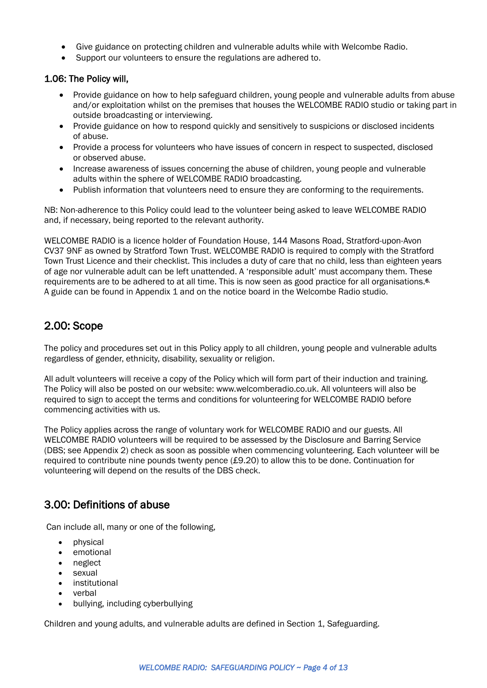- Give guidance on protecting children and vulnerable adults while with Welcombe Radio.
- Support our volunteers to ensure the regulations are adhered to.

#### 1.06: The Policy will,

- Provide guidance on how to help safeguard children, young people and vulnerable adults from abuse and/or exploitation whilst on the premises that houses the WELCOMBE RADIO studio or taking part in outside broadcasting or interviewing.
- Provide guidance on how to respond quickly and sensitively to suspicions or disclosed incidents of abuse.
- Provide a process for volunteers who have issues of concern in respect to suspected, disclosed or observed abuse.
- Increase awareness of issues concerning the abuse of children, young people and vulnerable adults within the sphere of WELCOMBE RADIO broadcasting.
- Publish information that volunteers need to ensure they are conforming to the requirements.

NB: Non-adherence to this Policy could lead to the volunteer being asked to leave WELCOMBE RADIO and, if necessary, being reported to the relevant authority.

WELCOMBE RADIO is a licence holder of Foundation House, 144 Masons Road, Stratford-upon-Avon CV37 9NF as owned by Stratford Town Trust. WELCOMBE RADIO is required to comply with the Stratford Town Trust Licence and their checklist. This includes a duty of care that no child, less than eighteen years of age nor vulnerable adult can be left unattended. A 'responsible adult' must accompany them. These requirements are to be adhered to at all time. This is now seen as good practice for all organisations.<sup>6.</sup> A guide can be found in Appendix 1 and on the notice board in the Welcombe Radio studio.

#### <span id="page-3-0"></span>2.00: Scope

The policy and procedures set out in this Policy apply to all children, young people and vulnerable adults regardless of gender, ethnicity, disability, sexuality or religion.

All adult volunteers will receive a copy of the Policy which will form part of their induction and training. The Policy will also be posted on our website: www.welcomberadio.co.uk. All volunteers will also be required to sign to accept the terms and conditions for volunteering for WELCOMBE RADIO before commencing activities with us.

The Policy applies across the range of voluntary work for WELCOMBE RADIO and our guests. All WELCOMBE RADIO volunteers will be required to be assessed by the Disclosure and Barring Service (DBS; see Appendix 2) check as soon as possible when commencing volunteering. Each volunteer will be required to contribute nine pounds twenty pence (£9.20) to allow this to be done. Continuation for volunteering will depend on the results of the DBS check.

# <span id="page-3-1"></span>3.00: Definitions of abuse

Can include all, many or one of the following,

- physical
- emotional
- neglect
- sexual
- institutional
- verbal
- bullying, including cyberbullying

Children and young adults, and vulnerable adults are defined in Section 1, Safeguarding.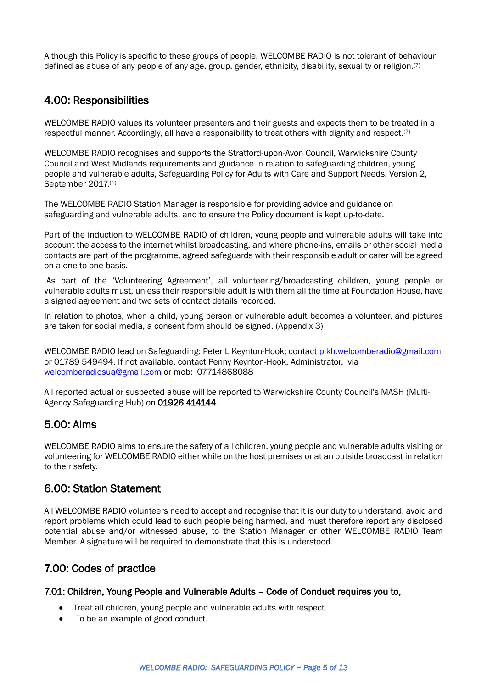Although this Policy is specific to these groups of people, WELCOMBE RADIO is not tolerant of behaviour defined as abuse of any people of any age, group, gender, ethnicity, disability, sexuality or religion.(7)

# <span id="page-4-0"></span>4.00: Responsibilities

WELCOMBE RADIO values its volunteer presenters and their guests and expects them to be treated in a respectful manner. Accordingly, all have a responsibility to treat others with dignity and respect.<sup>(7)</sup>

WELCOMBE RADIO recognises and supports the Stratford-upon-Avon Council, Warwickshire County Council and West Midlands requirements and guidance in relation to safeguarding children, young people and vulnerable adults, Safeguarding Policy for Adults with Care and Support Needs, Version 2, September 2017.<sup>(1)</sup>

The WELCOMBE RADIO Station Manager is responsible for providing advice and guidance on safeguarding and vulnerable adults, and to ensure the Policy document is kept up-to-date.

Part of the induction to WELCOMBE RADIO of children, young people and vulnerable adults will take into account the access to the internet whilst broadcasting, and where phone-ins, emails or other social media contacts are part of the programme, agreed safeguards with their responsible adult or carer will be agreed on a one-to-one basis.

As part of the 'Volunteering Agreement', all volunteering/broadcasting children, young people or vulnerable adults must, unless their responsible adult is with them all the time at Foundation House, have a signed agreement and two sets of contact details recorded.

In relation to photos, when a child, young person or vulnerable adult becomes a volunteer, and pictures are taken for social media, a consent form should be signed. (Appendix 3)

WELCOMBE RADIO lead on Safeguarding: Peter L Keynton-Hook; contact [plkh.welcomberadio@gmail.com](file:///C:/Users/Graham/AppData/Local/Microsoft/Windows/INetCache/Content.Outlook/IKAXDOAX/plkh.welcomberadio@gmail.com) or 01789 549494. If not available, contact Penny Keynton-Hook, Administrator, via [welcomberadiosua@gmail.com](mailto:welcomberadiosua@gmail.com) or mob: 07714868088

All reported actual or suspected abuse will be reported to Warwickshire County Council's MASH (Multi-Agency Safeguarding Hub) on 01926 414144.

# <span id="page-4-1"></span>5.00: Aims

WELCOMBE RADIO aims to ensure the safety of all children, young people and vulnerable adults visiting or volunteering for WELCOMBE RADIO either while on the host premises or at an outside broadcast in relation to their safety.

#### <span id="page-4-2"></span>6.00: Station Statement

All WELCOMBE RADIO volunteers need to accept and recognise that it is our duty to understand, avoid and report problems which could lead to such people being harmed, and must therefore report any disclosed potential abuse and/or witnessed abuse, to the Station Manager or other WELCOMBE RADIO Team Member. A signature will be required to demonstrate that this is understood.

#### <span id="page-4-3"></span>7.00: Codes of practice

7.01: Children, Young People and Vulnerable Adults – Code of Conduct requires you to,

- Treat all children, young people and vulnerable adults with respect.
- To be an example of good conduct.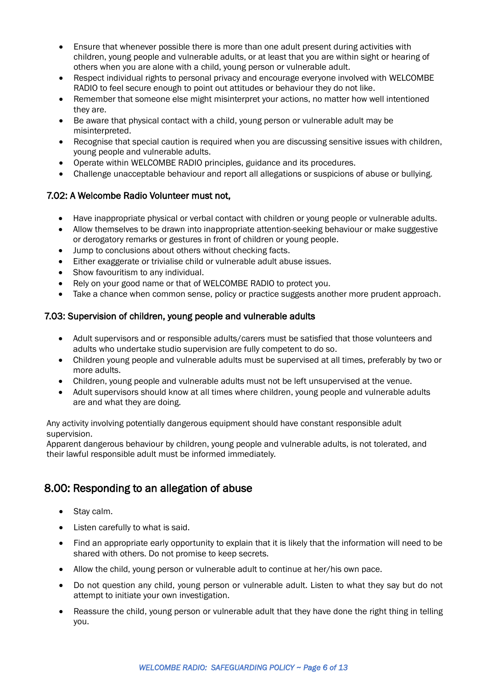- Ensure that whenever possible there is more than one adult present during activities with children, young people and vulnerable adults, or at least that you are within sight or hearing of others when you are alone with a child, young person or vulnerable adult.
- Respect individual rights to personal privacy and encourage everyone involved with WELCOMBE RADIO to feel secure enough to point out attitudes or behaviour they do not like.
- Remember that someone else might misinterpret your actions, no matter how well intentioned they are.
- Be aware that physical contact with a child, young person or vulnerable adult may be misinterpreted.
- Recognise that special caution is required when you are discussing sensitive issues with children, young people and vulnerable adults.
- Operate within WELCOMBE RADIO principles, guidance and its procedures.
- Challenge unacceptable behaviour and report all allegations or suspicions of abuse or bullying.

#### 7.02: A Welcombe Radio Volunteer must not,

- Have inappropriate physical or verbal contact with children or young people or vulnerable adults.
- Allow themselves to be drawn into inappropriate attention-seeking behaviour or make suggestive or derogatory remarks or gestures in front of children or young people.
- Jump to conclusions about others without checking facts.
- Either exaggerate or trivialise child or vulnerable adult abuse issues.
- Show favouritism to any individual.
- Rely on your good name or that of WELCOMBE RADIO to protect you.
- Take a chance when common sense, policy or practice suggests another more prudent approach.

#### 7.03: Supervision of children, young people and vulnerable adults

- Adult supervisors and or responsible adults/carers must be satisfied that those volunteers and adults who undertake studio supervision are fully competent to do so.
- Children young people and vulnerable adults must be supervised at all times, preferably by two or more adults.
- Children, young people and vulnerable adults must not be left unsupervised at the venue.
- Adult supervisors should know at all times where children, young people and vulnerable adults are and what they are doing.

Any activity involving potentially dangerous equipment should have constant responsible adult supervision.

Apparent dangerous behaviour by children, young people and vulnerable adults, is not tolerated, and their lawful responsible adult must be informed immediately.

# <span id="page-5-0"></span>8.00: Responding to an allegation of abuse

- Stay calm.
- Listen carefully to what is said.
- Find an appropriate early opportunity to explain that it is likely that the information will need to be shared with others. Do not promise to keep secrets.
- Allow the child, young person or vulnerable adult to continue at her/his own pace.
- Do not question any child, young person or vulnerable adult. Listen to what they say but do not attempt to initiate your own investigation.
- Reassure the child, young person or vulnerable adult that they have done the right thing in telling you.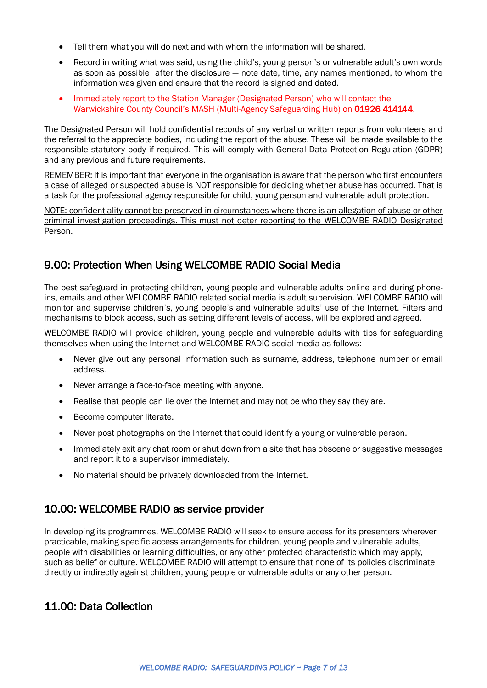- Tell them what you will do next and with whom the information will be shared.
- Record in writing what was said, using the child's, young person's or vulnerable adult's own words as soon as possible after the disclosure — note date, time, any names mentioned, to whom the information was given and ensure that the record is signed and dated.
- Immediately report to the Station Manager (Designated Person) who will contact the Warwickshire County Council's MASH (Multi-Agency Safeguarding Hub) on 01926 414144.

The Designated Person will hold confidential records of any verbal or written reports from volunteers and the referral to the appreciate bodies, including the report of the abuse. These will be made available to the responsible statutory body if required. This will comply with General Data Protection Regulation (GDPR) and any previous and future requirements.

REMEMBER: It is important that everyone in the organisation is aware that the person who first encounters a case of alleged or suspected abuse is NOT responsible for deciding whether abuse has occurred. That is a task for the professional agency responsible for child, young person and vulnerable adult protection.

NOTE: confidentiality cannot be preserved in circumstances where there is an allegation of abuse or other criminal investigation proceedings. This must not deter reporting to the WELCOMBE RADIO Designated Person.

# <span id="page-6-0"></span>9.00: Protection When Using WELCOMBE RADIO Social Media

The best safeguard in protecting children, young people and vulnerable adults online and during phoneins, emails and other WELCOMBE RADIO related social media is adult supervision. WELCOMBE RADIO will monitor and supervise children's, young people's and vulnerable adults' use of the Internet. Filters and mechanisms to block access, such as setting different levels of access, will be explored and agreed.

WELCOMBE RADIO will provide children, young people and vulnerable adults with tips for safeguarding themselves when using the Internet and WELCOMBE RADIO social media as follows:

- Never give out any personal information such as surname, address, telephone number or email address.
- Never arrange a face-to-face meeting with anyone.
- Realise that people can lie over the Internet and may not be who they say they are.
- Become computer literate.
- Never post photographs on the Internet that could identify a young or vulnerable person.
- Immediately exit any chat room or shut down from a site that has obscene or suggestive messages and report it to a supervisor immediately.
- No material should be privately downloaded from the Internet.

# <span id="page-6-1"></span>10.00: WELCOMBE RADIO as service provider

In developing its programmes, WELCOMBE RADIO will seek to ensure access for its presenters wherever practicable, making specific access arrangements for children, young people and vulnerable adults, people with disabilities or learning difficulties, or any other protected characteristic which may apply, such as belief or culture. WELCOMBE RADIO will attempt to ensure that none of its policies discriminate directly or indirectly against children, young people or vulnerable adults or any other person.

# <span id="page-6-2"></span>11.00: Data Collection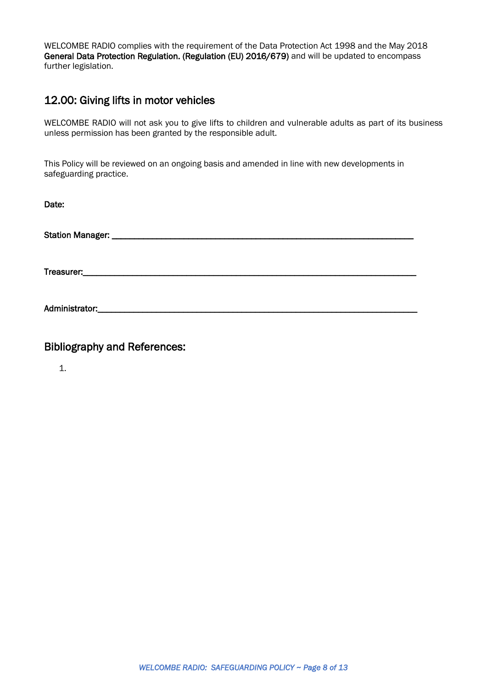WELCOMBE RADIO complies with the requirement of the Data Protection Act 1998 and the May 2018 General Data Protection Regulation. (Regulation (EU) 2016/679) and will be updated to encompass further legislation.

#### 12.00: Giving lifts in motor vehicles

WELCOMBE RADIO will not ask you to give lifts to children and vulnerable adults as part of its business unless permission has been granted by the responsible adult.

This Policy will be reviewed on an ongoing basis and amended in line with new developments in safeguarding practice.

| Date:          |  |  |
|----------------|--|--|
|                |  |  |
|                |  |  |
| Administrator: |  |  |

Bibliography and References:

1.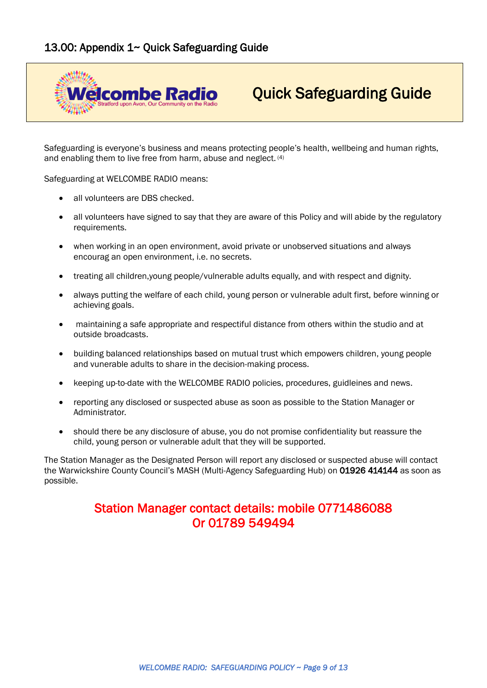<span id="page-8-0"></span>

# Quick Safeguarding Guide

Safeguarding is everyone's business and means protecting people's health, wellbeing and human rights, and enabling them to live free from harm, abuse and neglect. (4)

Safeguarding at WELCOMBE RADIO means:

- all volunteers are DBS checked.
- all volunteers have signed to say that they are aware of this Policy and will abide by the regulatory requirements.
- when working in an open environment, avoid private or unobserved situations and always encourag an open environment, i.e. no secrets.
- treating all children,young people/vulnerable adults equally, and with respect and dignity.
- always putting the welfare of each child, young person or vulnerable adult first, before winning or achieving goals.
- maintaining a safe appropriate and respectiful distance from others within the studio and at outside broadcasts.
- building balanced relationships based on mutual trust which empowers children, young people and vunerable adults to share in the decision-making process.
- keeping up-to-date with the WELCOMBE RADIO policies, procedures, guidleines and news.
- reporting any disclosed or suspected abuse as soon as possible to the Station Manager or Administrator.
- should there be any disclosure of abuse, you do not promise confidentiality but reassure the child, young person or vulnerable adult that they will be supported.

The Station Manager as the Designated Person will report any disclosed or suspected abuse will contact the Warwickshire County Council's MASH (Multi-Agency Safeguarding Hub) on 01926 414144 as soon as possible.

# Station Manager contact details: mobile 0771486088 Or 01789 549494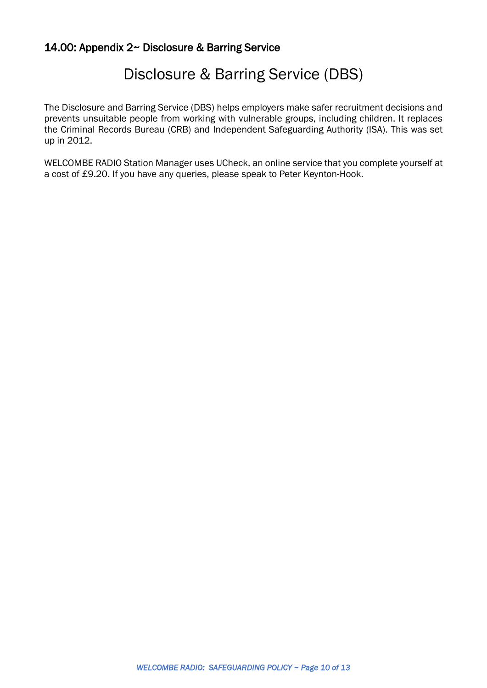# <span id="page-9-0"></span>14.00: Appendix 2~ Disclosure & Barring Service

# Disclosure & Barring Service (DBS)

The Disclosure and Barring Service (DBS) helps employers make safer recruitment decisions and prevents unsuitable people from working with vulnerable groups, including children. It replaces the Criminal Records Bureau (CRB) and Independent Safeguarding Authority (ISA). This was set up in 2012.

WELCOMBE RADIO Station Manager uses UCheck, an online service that you complete yourself at a cost of £9.20. If you have any queries, please speak to Peter Keynton-Hook.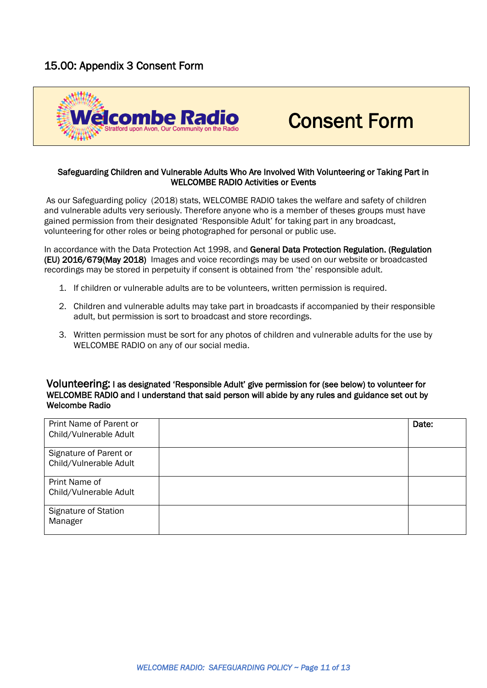# <span id="page-10-0"></span>15.00: Appendix 3 Consent Form



# Consent Form

#### Safeguarding Children and Vulnerable Adults Who Are Involved With Volunteering or Taking Part in WELCOMBE RADIO Activities or Events

As our Safeguarding policy (2018) stats, WELCOMBE RADIO takes the welfare and safety of children and vulnerable adults very seriously. Therefore anyone who is a member of theses groups must have gained permission from their designated 'Responsible Adult' for taking part in any broadcast, volunteering for other roles or being photographed for personal or public use.

In accordance with the Data Protection Act 1998, and General Data Protection Regulation. (Regulation (EU) 2016/679(May 2018) Images and voice recordings may be used on our website or broadcasted recordings may be stored in perpetuity if consent is obtained from 'the' responsible adult.

- 1. If children or vulnerable adults are to be volunteers, written permission is required.
- 2. Children and vulnerable adults may take part in broadcasts if accompanied by their responsible adult, but permission is sort to broadcast and store recordings.
- 3. Written permission must be sort for any photos of children and vulnerable adults for the use by WELCOMBE RADIO on any of our social media.

#### Volunteering: I as designated 'Responsible Adult' give permission for (see below) to volunteer for WELCOMBE RADIO and I understand that said person will abide by any rules and guidance set out by Welcombe Radio

| Print Name of Parent or<br>Child/Vulnerable Adult | Date: |
|---------------------------------------------------|-------|
| Signature of Parent or<br>Child/Vulnerable Adult  |       |
| Print Name of<br>Child/Vulnerable Adult           |       |
| Signature of Station<br>Manager                   |       |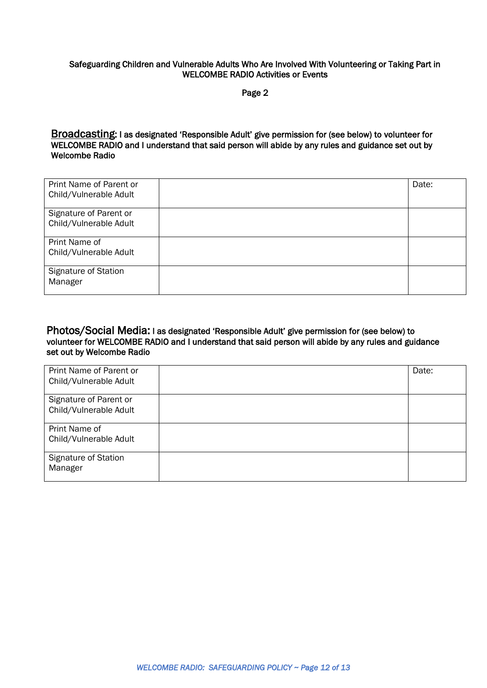#### Safeguarding Children and Vulnerable Adults Who Are Involved With Volunteering or Taking Part in WELCOMBE RADIO Activities or Events

Page 2

Broadcasting: I as designated 'Responsible Adult' give permission for (see below) to volunteer for WELCOMBE RADIO and I understand that said person will abide by any rules and guidance set out by Welcombe Radio

| Print Name of Parent or<br>Child/Vulnerable Adult | Date: |
|---------------------------------------------------|-------|
| Signature of Parent or<br>Child/Vulnerable Adult  |       |
| Print Name of<br>Child/Vulnerable Adult           |       |
| Signature of Station<br>Manager                   |       |

#### Photos/Social Media: I as designated 'Responsible Adult' give permission for (see below) to volunteer for WELCOMBE RADIO and I understand that said person will abide by any rules and guidance set out by Welcombe Radio

| Print Name of Parent or | Date: |
|-------------------------|-------|
| Child/Vulnerable Adult  |       |
| Signature of Parent or  |       |
| Child/Vulnerable Adult  |       |
| Print Name of           |       |
| Child/Vulnerable Adult  |       |
| Signature of Station    |       |
| Manager                 |       |